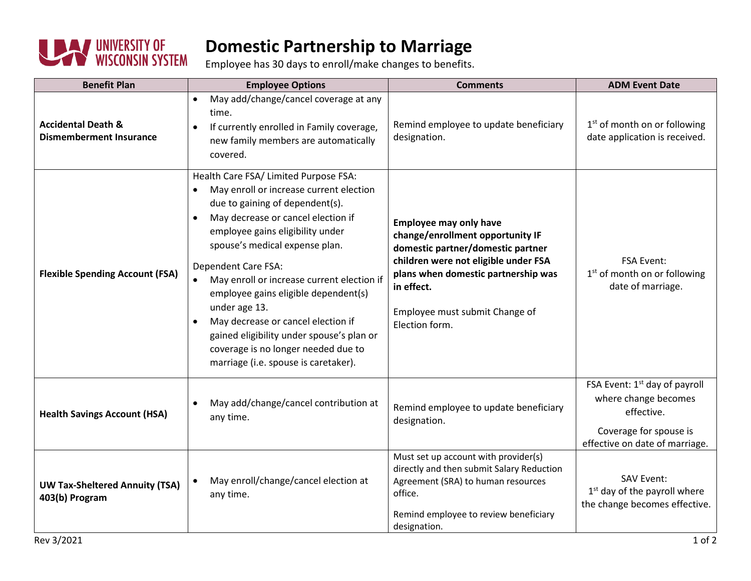

## **Domestic Partnership to Marriage**

Employee has 30 days to enroll/make changes to benefits.

| <b>Benefit Plan</b>                                             | <b>Employee Options</b>                                                                                                                                                                                                                                                                                                                                                                                                                                                                                                                                   | <b>Comments</b>                                                                                                                                                                                                                                         | <b>ADM Event Date</b>                                                                                                                       |
|-----------------------------------------------------------------|-----------------------------------------------------------------------------------------------------------------------------------------------------------------------------------------------------------------------------------------------------------------------------------------------------------------------------------------------------------------------------------------------------------------------------------------------------------------------------------------------------------------------------------------------------------|---------------------------------------------------------------------------------------------------------------------------------------------------------------------------------------------------------------------------------------------------------|---------------------------------------------------------------------------------------------------------------------------------------------|
| <b>Accidental Death &amp;</b><br><b>Dismemberment Insurance</b> | May add/change/cancel coverage at any<br>$\bullet$<br>time.<br>If currently enrolled in Family coverage,<br>$\bullet$<br>new family members are automatically<br>covered.                                                                                                                                                                                                                                                                                                                                                                                 | Remind employee to update beneficiary<br>designation.                                                                                                                                                                                                   | 1 <sup>st</sup> of month on or following<br>date application is received.                                                                   |
| <b>Flexible Spending Account (FSA)</b>                          | Health Care FSA/ Limited Purpose FSA:<br>May enroll or increase current election<br>$\bullet$<br>due to gaining of dependent(s).<br>May decrease or cancel election if<br>$\bullet$<br>employee gains eligibility under<br>spouse's medical expense plan.<br>Dependent Care FSA:<br>May enroll or increase current election if<br>employee gains eligible dependent(s)<br>under age 13.<br>May decrease or cancel election if<br>gained eligibility under spouse's plan or<br>coverage is no longer needed due to<br>marriage (i.e. spouse is caretaker). | <b>Employee may only have</b><br>change/enrollment opportunity IF<br>domestic partner/domestic partner<br>children were not eligible under FSA<br>plans when domestic partnership was<br>in effect.<br>Employee must submit Change of<br>Election form. | <b>FSA Event:</b><br>1 <sup>st</sup> of month on or following<br>date of marriage.                                                          |
| <b>Health Savings Account (HSA)</b>                             | May add/change/cancel contribution at<br>any time.                                                                                                                                                                                                                                                                                                                                                                                                                                                                                                        | Remind employee to update beneficiary<br>designation.                                                                                                                                                                                                   | FSA Event: 1 <sup>st</sup> day of payroll<br>where change becomes<br>effective.<br>Coverage for spouse is<br>effective on date of marriage. |
| <b>UW Tax-Sheltered Annuity (TSA)</b><br>403(b) Program         | May enroll/change/cancel election at<br>any time.                                                                                                                                                                                                                                                                                                                                                                                                                                                                                                         | Must set up account with provider(s)<br>directly and then submit Salary Reduction<br>Agreement (SRA) to human resources<br>office.<br>Remind employee to review beneficiary<br>designation.                                                             | <b>SAV Event:</b><br>$1st$ day of the payroll where<br>the change becomes effective.                                                        |